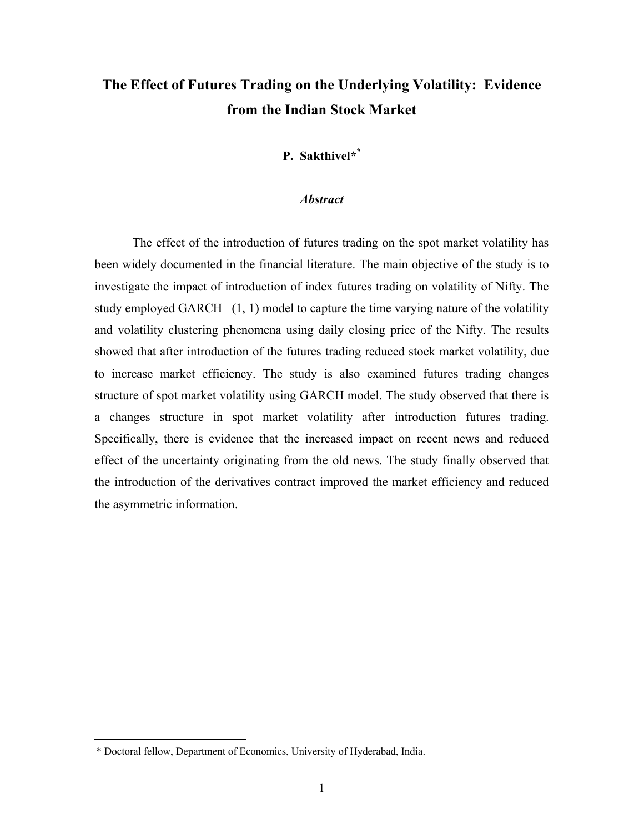# **The Effect of Futures Trading on the Underlying Volatility: Evidence from the Indian Stock Market**

# **P. Sakthivel\*\***

#### *Abstract*

The effect of the introduction of futures trading on the spot market volatility has been widely documented in the financial literature. The main objective of the study is to investigate the impact of introduction of index futures trading on volatility of Nifty. The study employed GARCH (1, 1) model to capture the time varying nature of the volatility and volatility clustering phenomena using daily closing price of the Nifty. The results showed that after introduction of the futures trading reduced stock market volatility, due to increase market efficiency. The study is also examined futures trading changes structure of spot market volatility using GARCH model. The study observed that there is a changes structure in spot market volatility after introduction futures trading. Specifically, there is evidence that the increased impact on recent news and reduced effect of the uncertainty originating from the old news. The study finally observed that the introduction of the derivatives contract improved the market efficiency and reduced the asymmetric information.

 $\overline{a}$ 

<sup>\*</sup> Doctoral fellow, Department of Economics, University of Hyderabad, India.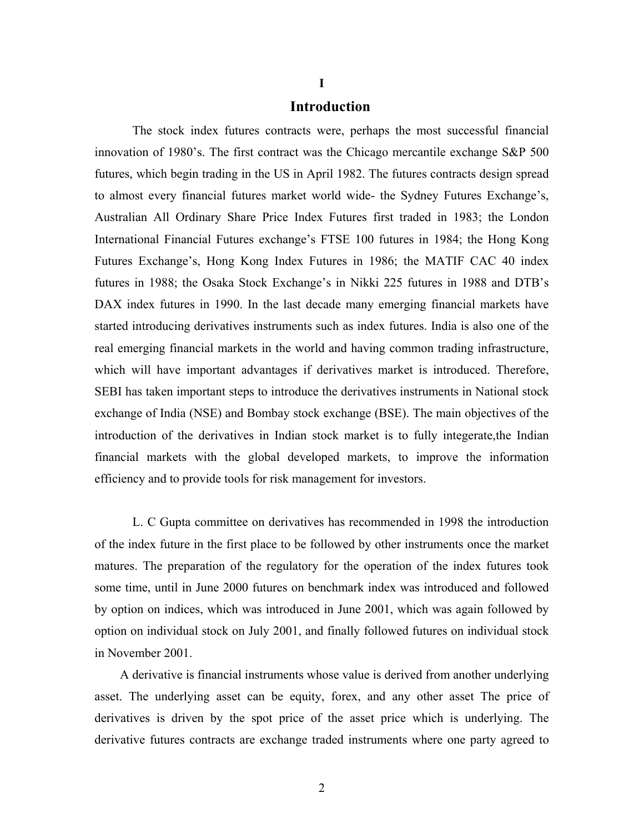### **Introduction**

The stock index futures contracts were, perhaps the most successful financial innovation of 1980's. The first contract was the Chicago mercantile exchange S&P 500 futures, which begin trading in the US in April 1982. The futures contracts design spread to almost every financial futures market world wide- the Sydney Futures Exchange's, Australian All Ordinary Share Price Index Futures first traded in 1983; the London International Financial Futures exchange's FTSE 100 futures in 1984; the Hong Kong Futures Exchange's, Hong Kong Index Futures in 1986; the MATIF CAC 40 index futures in 1988; the Osaka Stock Exchange's in Nikki 225 futures in 1988 and DTB's DAX index futures in 1990. In the last decade many emerging financial markets have started introducing derivatives instruments such as index futures. India is also one of the real emerging financial markets in the world and having common trading infrastructure, which will have important advantages if derivatives market is introduced. Therefore, SEBI has taken important steps to introduce the derivatives instruments in National stock exchange of India (NSE) and Bombay stock exchange (BSE). The main objectives of the introduction of the derivatives in Indian stock market is to fully integerate,the Indian financial markets with the global developed markets, to improve the information efficiency and to provide tools for risk management for investors.

L. C Gupta committee on derivatives has recommended in 1998 the introduction of the index future in the first place to be followed by other instruments once the market matures. The preparation of the regulatory for the operation of the index futures took some time, until in June 2000 futures on benchmark index was introduced and followed by option on indices, which was introduced in June 2001, which was again followed by option on individual stock on July 2001, and finally followed futures on individual stock in November 2001.

 A derivative is financial instruments whose value is derived from another underlying asset. The underlying asset can be equity, forex, and any other asset The price of derivatives is driven by the spot price of the asset price which is underlying. The derivative futures contracts are exchange traded instruments where one party agreed to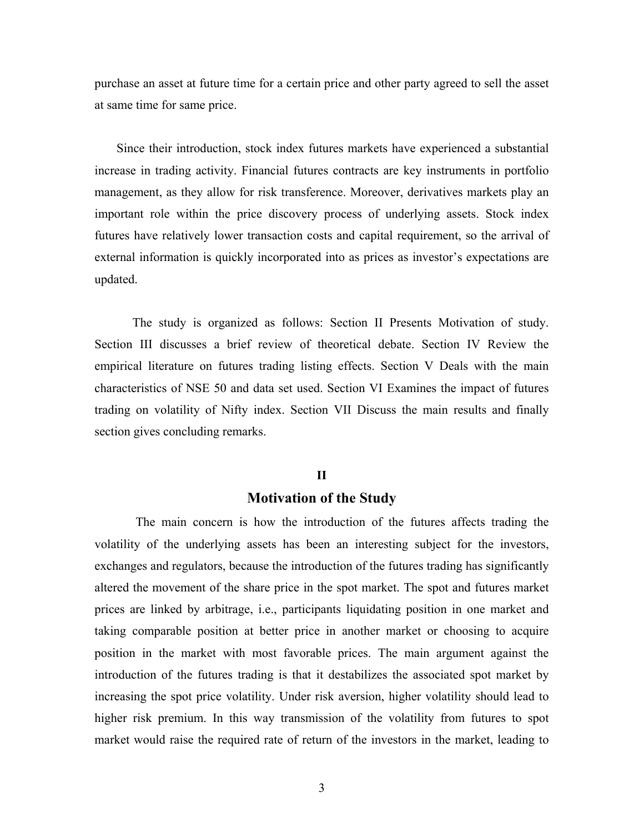purchase an asset at future time for a certain price and other party agreed to sell the asset at same time for same price.

 Since their introduction, stock index futures markets have experienced a substantial increase in trading activity. Financial futures contracts are key instruments in portfolio management, as they allow for risk transference. Moreover, derivatives markets play an important role within the price discovery process of underlying assets. Stock index futures have relatively lower transaction costs and capital requirement, so the arrival of external information is quickly incorporated into as prices as investor's expectations are updated.

The study is organized as follows: Section II Presents Motivation of study. Section III discusses a brief review of theoretical debate. Section IV Review the empirical literature on futures trading listing effects. Section V Deals with the main characteristics of NSE 50 and data set used. Section VI Examines the impact of futures trading on volatility of Nifty index. Section VII Discuss the main results and finally section gives concluding remarks.

### **II**

# **Motivation of the Study**

The main concern is how the introduction of the futures affects trading the volatility of the underlying assets has been an interesting subject for the investors, exchanges and regulators, because the introduction of the futures trading has significantly altered the movement of the share price in the spot market. The spot and futures market prices are linked by arbitrage, i.e., participants liquidating position in one market and taking comparable position at better price in another market or choosing to acquire position in the market with most favorable prices. The main argument against the introduction of the futures trading is that it destabilizes the associated spot market by increasing the spot price volatility. Under risk aversion, higher volatility should lead to higher risk premium. In this way transmission of the volatility from futures to spot market would raise the required rate of return of the investors in the market, leading to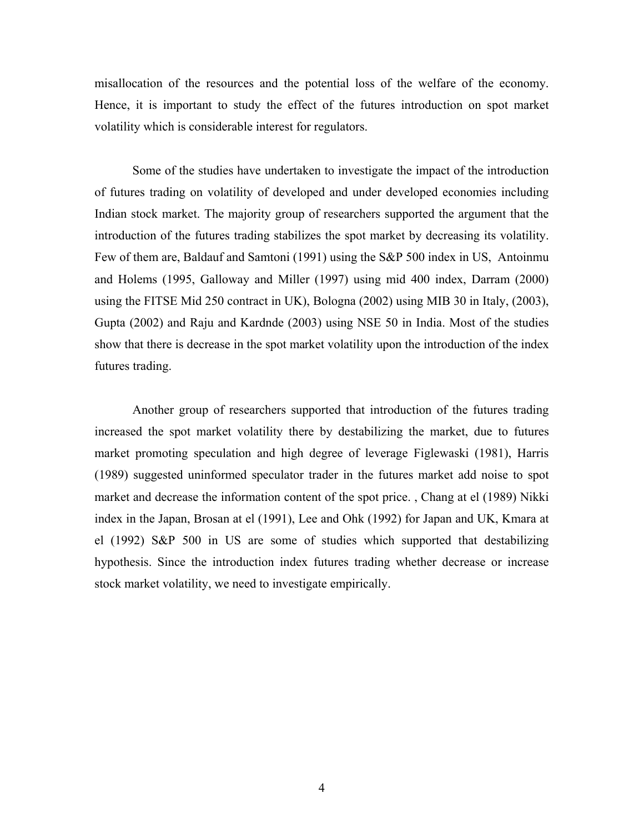misallocation of the resources and the potential loss of the welfare of the economy. Hence, it is important to study the effect of the futures introduction on spot market volatility which is considerable interest for regulators.

 Some of the studies have undertaken to investigate the impact of the introduction of futures trading on volatility of developed and under developed economies including Indian stock market. The majority group of researchers supported the argument that the introduction of the futures trading stabilizes the spot market by decreasing its volatility. Few of them are, Baldauf and Samtoni (1991) using the S&P 500 index in US, Antoinmu and Holems (1995, Galloway and Miller (1997) using mid 400 index, Darram (2000) using the FITSE Mid 250 contract in UK), Bologna (2002) using MIB 30 in Italy, (2003), Gupta (2002) and Raju and Kardnde (2003) using NSE 50 in India. Most of the studies show that there is decrease in the spot market volatility upon the introduction of the index futures trading.

 Another group of researchers supported that introduction of the futures trading increased the spot market volatility there by destabilizing the market, due to futures market promoting speculation and high degree of leverage Figlewaski (1981), Harris (1989) suggested uninformed speculator trader in the futures market add noise to spot market and decrease the information content of the spot price. , Chang at el (1989) Nikki index in the Japan, Brosan at el (1991), Lee and Ohk (1992) for Japan and UK, Kmara at el (1992) S&P 500 in US are some of studies which supported that destabilizing hypothesis. Since the introduction index futures trading whether decrease or increase stock market volatility, we need to investigate empirically.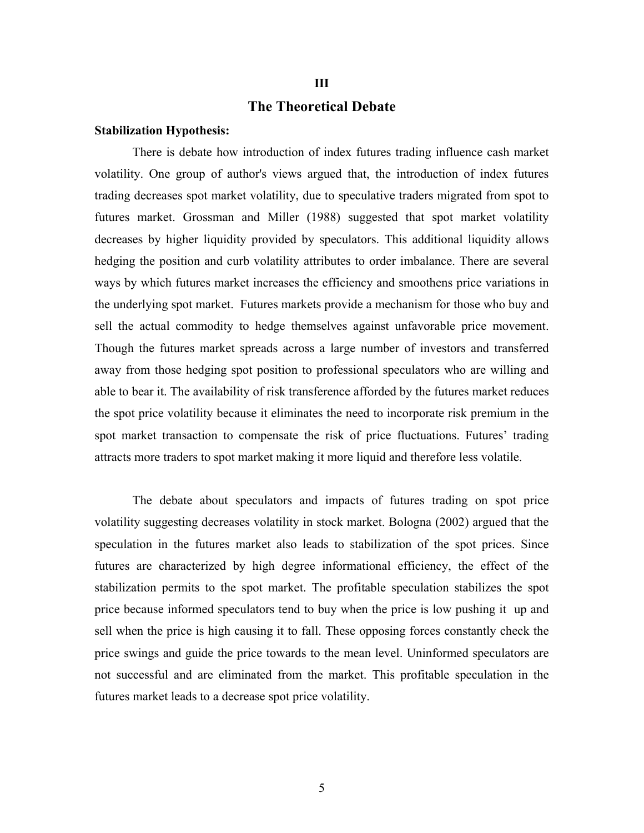### **The Theoretical Debate**

**III** 

#### **Stabilization Hypothesis:**

There is debate how introduction of index futures trading influence cash market volatility. One group of author's views argued that, the introduction of index futures trading decreases spot market volatility, due to speculative traders migrated from spot to futures market. Grossman and Miller (1988) suggested that spot market volatility decreases by higher liquidity provided by speculators. This additional liquidity allows hedging the position and curb volatility attributes to order imbalance. There are several ways by which futures market increases the efficiency and smoothens price variations in the underlying spot market. Futures markets provide a mechanism for those who buy and sell the actual commodity to hedge themselves against unfavorable price movement. Though the futures market spreads across a large number of investors and transferred away from those hedging spot position to professional speculators who are willing and able to bear it. The availability of risk transference afforded by the futures market reduces the spot price volatility because it eliminates the need to incorporate risk premium in the spot market transaction to compensate the risk of price fluctuations. Futures' trading attracts more traders to spot market making it more liquid and therefore less volatile.

The debate about speculators and impacts of futures trading on spot price volatility suggesting decreases volatility in stock market. Bologna (2002) argued that the speculation in the futures market also leads to stabilization of the spot prices. Since futures are characterized by high degree informational efficiency, the effect of the stabilization permits to the spot market. The profitable speculation stabilizes the spot price because informed speculators tend to buy when the price is low pushing it up and sell when the price is high causing it to fall. These opposing forces constantly check the price swings and guide the price towards to the mean level. Uninformed speculators are not successful and are eliminated from the market. This profitable speculation in the futures market leads to a decrease spot price volatility.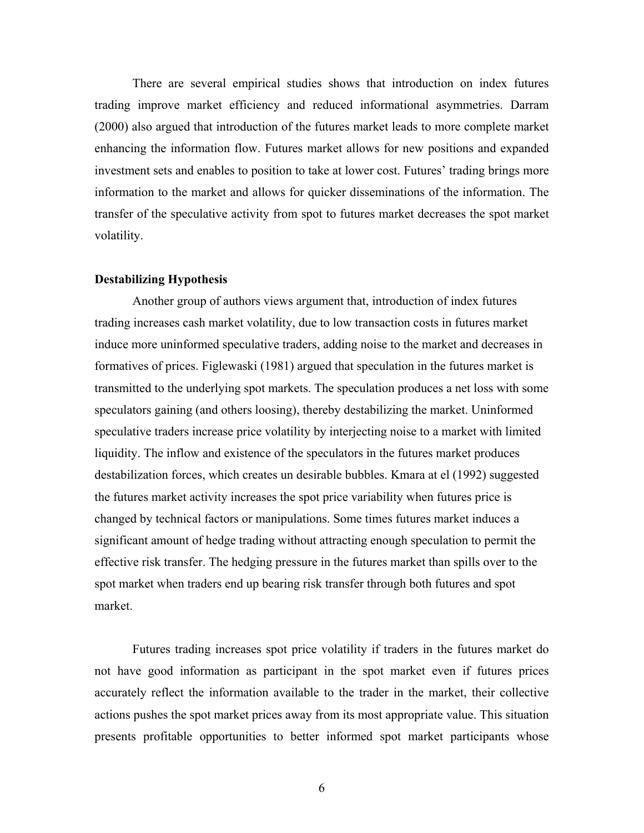There are several empirical studies shows that introduction on index futures trading improve market efficiency and reduced informational asymmetries. Darram (2000) also argued that introduction of the futures market leads to more complete market enhancing the information flow. Futures market allows for new positions and expanded investment sets and enables to position to take at lower cost. Futures' trading brings more information to the market and allows for quicker disseminations of the information. The transfer of the speculative activity from spot to futures market decreases the spot market volatility.

### **Destabilizing Hypothesis**

Another group of authors views argument that, introduction of index futures trading increases cash market volatility, due to low transaction costs in futures market induce more uninformed speculative traders, adding noise to the market and decreases in formatives of prices. Figlewaski (1981) argued that speculation in the futures market is transmitted to the underlying spot markets. The speculation produces a net loss with some speculators gaining (and others loosing), thereby destabilizing the market. Uninformed speculative traders increase price volatility by interjecting noise to a market with limited liquidity. The inflow and existence of the speculators in the futures market produces destabilization forces, which creates un desirable bubbles. Kmara at el (1992) suggested the futures market activity increases the spot price variability when futures price is changed by technical factors or manipulations. Some times futures market induces a significant amount of hedge trading without attracting enough speculation to permit the effective risk transfer. The hedging pressure in the futures market than spills over to the spot market when traders end up bearing risk transfer through both futures and spot market.

Futures trading increases spot price volatility if traders in the futures market do not have good information as participant in the spot market even if futures prices accurately reflect the information available to the trader in the market, their collective actions pushes the spot market prices away from its most appropriate value. This situation presents profitable opportunities to better informed spot market participants whose

6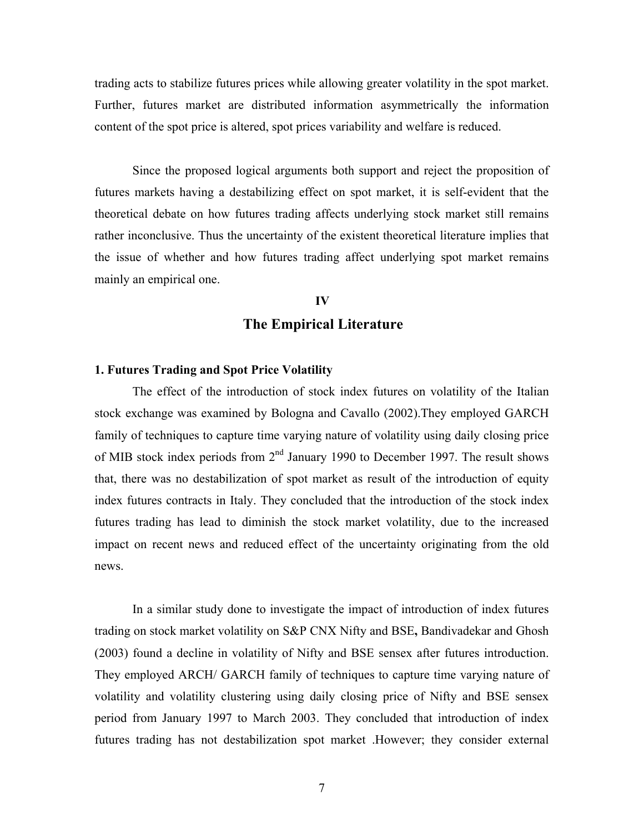trading acts to stabilize futures prices while allowing greater volatility in the spot market. Further, futures market are distributed information asymmetrically the information content of the spot price is altered, spot prices variability and welfare is reduced.

Since the proposed logical arguments both support and reject the proposition of futures markets having a destabilizing effect on spot market, it is self-evident that the theoretical debate on how futures trading affects underlying stock market still remains rather inconclusive. Thus the uncertainty of the existent theoretical literature implies that the issue of whether and how futures trading affect underlying spot market remains mainly an empirical one.

## **IV**

## **The Empirical Literature**

### **1. Futures Trading and Spot Price Volatility**

The effect of the introduction of stock index futures on volatility of the Italian stock exchange was examined by Bologna and Cavallo (2002).They employed GARCH family of techniques to capture time varying nature of volatility using daily closing price of MIB stock index periods from  $2<sup>nd</sup>$  January 1990 to December 1997. The result shows that, there was no destabilization of spot market as result of the introduction of equity index futures contracts in Italy. They concluded that the introduction of the stock index futures trading has lead to diminish the stock market volatility, due to the increased impact on recent news and reduced effect of the uncertainty originating from the old news.

In a similar study done to investigate the impact of introduction of index futures trading on stock market volatility on S&P CNX Nifty and BSE**,** Bandivadekar and Ghosh (2003) found a decline in volatility of Nifty and BSE sensex after futures introduction. They employed ARCH/ GARCH family of techniques to capture time varying nature of volatility and volatility clustering using daily closing price of Nifty and BSE sensex period from January 1997 to March 2003. They concluded that introduction of index futures trading has not destabilization spot market .However; they consider external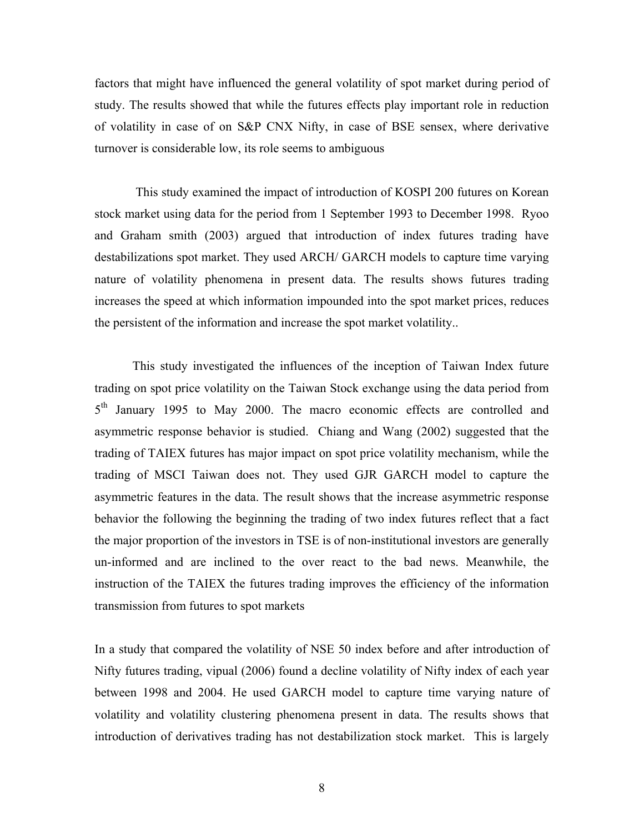factors that might have influenced the general volatility of spot market during period of study. The results showed that while the futures effects play important role in reduction of volatility in case of on S&P CNX Nifty, in case of BSE sensex, where derivative turnover is considerable low, its role seems to ambiguous

 This study examined the impact of introduction of KOSPI 200 futures on Korean stock market using data for the period from 1 September 1993 to December 1998. Ryoo and Graham smith (2003) argued that introduction of index futures trading have destabilizations spot market. They used ARCH/ GARCH models to capture time varying nature of volatility phenomena in present data. The results shows futures trading increases the speed at which information impounded into the spot market prices, reduces the persistent of the information and increase the spot market volatility..

This study investigated the influences of the inception of Taiwan Index future trading on spot price volatility on the Taiwan Stock exchange using the data period from 5<sup>th</sup> January 1995 to May 2000. The macro economic effects are controlled and asymmetric response behavior is studied. Chiang and Wang (2002) suggested that the trading of TAIEX futures has major impact on spot price volatility mechanism, while the trading of MSCI Taiwan does not. They used GJR GARCH model to capture the asymmetric features in the data. The result shows that the increase asymmetric response behavior the following the beginning the trading of two index futures reflect that a fact the major proportion of the investors in TSE is of non-institutional investors are generally un-informed and are inclined to the over react to the bad news. Meanwhile, the instruction of the TAIEX the futures trading improves the efficiency of the information transmission from futures to spot markets

In a study that compared the volatility of NSE 50 index before and after introduction of Nifty futures trading, vipual (2006) found a decline volatility of Nifty index of each year between 1998 and 2004. He used GARCH model to capture time varying nature of volatility and volatility clustering phenomena present in data. The results shows that introduction of derivatives trading has not destabilization stock market. This is largely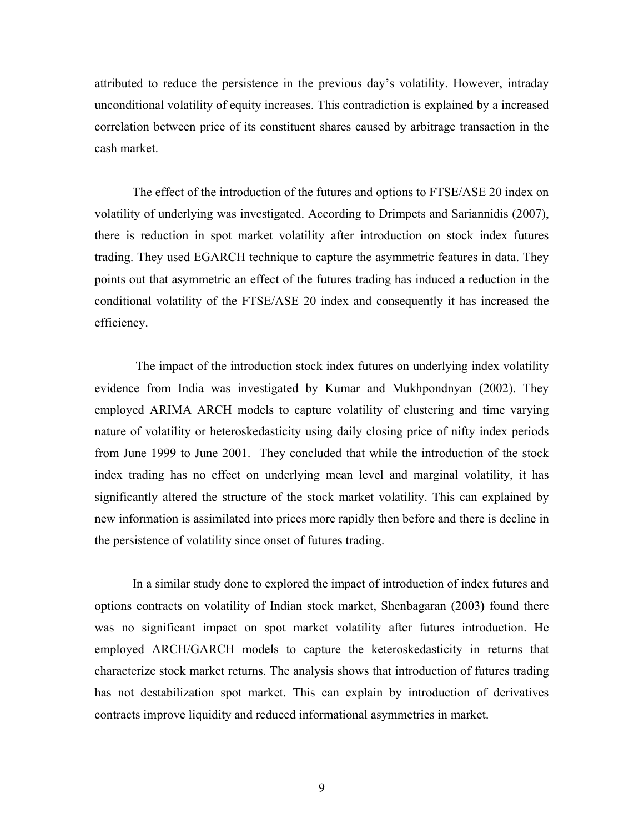attributed to reduce the persistence in the previous day's volatility. However, intraday unconditional volatility of equity increases. This contradiction is explained by a increased correlation between price of its constituent shares caused by arbitrage transaction in the cash market.

 The effect of the introduction of the futures and options to FTSE/ASE 20 index on volatility of underlying was investigated. According to Drimpets and Sariannidis (2007), there is reduction in spot market volatility after introduction on stock index futures trading. They used EGARCH technique to capture the asymmetric features in data. They points out that asymmetric an effect of the futures trading has induced a reduction in the conditional volatility of the FTSE/ASE 20 index and consequently it has increased the efficiency.

 The impact of the introduction stock index futures on underlying index volatility evidence from India was investigated by Kumar and Mukhpondnyan (2002). They employed ARIMA ARCH models to capture volatility of clustering and time varying nature of volatility or heteroskedasticity using daily closing price of nifty index periods from June 1999 to June 2001. They concluded that while the introduction of the stock index trading has no effect on underlying mean level and marginal volatility, it has significantly altered the structure of the stock market volatility. This can explained by new information is assimilated into prices more rapidly then before and there is decline in the persistence of volatility since onset of futures trading.

In a similar study done to explored the impact of introduction of index futures and options contracts on volatility of Indian stock market, Shenbagaran (2003**)** found there was no significant impact on spot market volatility after futures introduction. He employed ARCH/GARCH models to capture the keteroskedasticity in returns that characterize stock market returns. The analysis shows that introduction of futures trading has not destabilization spot market. This can explain by introduction of derivatives contracts improve liquidity and reduced informational asymmetries in market.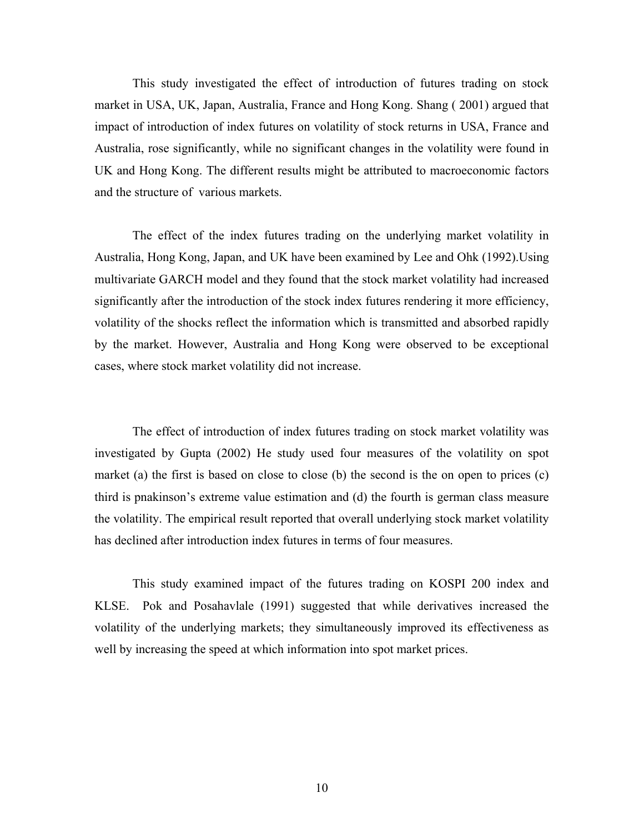This study investigated the effect of introduction of futures trading on stock market in USA, UK, Japan, Australia, France and Hong Kong. Shang ( 2001) argued that impact of introduction of index futures on volatility of stock returns in USA, France and Australia, rose significantly, while no significant changes in the volatility were found in UK and Hong Kong. The different results might be attributed to macroeconomic factors and the structure of various markets.

The effect of the index futures trading on the underlying market volatility in Australia, Hong Kong, Japan, and UK have been examined by Lee and Ohk (1992).Using multivariate GARCH model and they found that the stock market volatility had increased significantly after the introduction of the stock index futures rendering it more efficiency, volatility of the shocks reflect the information which is transmitted and absorbed rapidly by the market. However, Australia and Hong Kong were observed to be exceptional cases, where stock market volatility did not increase.

The effect of introduction of index futures trading on stock market volatility was investigated by Gupta (2002) He study used four measures of the volatility on spot market (a) the first is based on close to close (b) the second is the on open to prices (c) third is pnakinson's extreme value estimation and (d) the fourth is german class measure the volatility. The empirical result reported that overall underlying stock market volatility has declined after introduction index futures in terms of four measures.

This study examined impact of the futures trading on KOSPI 200 index and KLSE. Pok and Posahavlale (1991) suggested that while derivatives increased the volatility of the underlying markets; they simultaneously improved its effectiveness as well by increasing the speed at which information into spot market prices.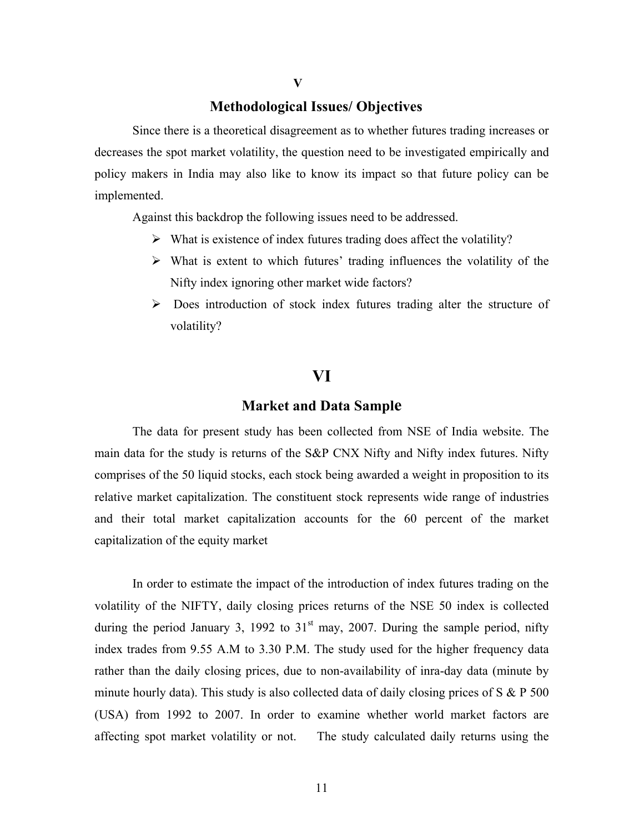### **v v**

# **Methodological Issues/ Objectives**

Since there is a theoretical disagreement as to whether futures trading increases or decreases the spot market volatility, the question need to be investigated empirically and policy makers in India may also like to know its impact so that future policy can be implemented.

Against this backdrop the following issues need to be addressed.

- $\triangleright$  What is existence of index futures trading does affect the volatility?
- $\triangleright$  What is extent to which futures' trading influences the volatility of the Nifty index ignoring other market wide factors?
- $\triangleright$  Does introduction of stock index futures trading alter the structure of volatility?

# **VI**

### **Market and Data Sample**

The data for present study has been collected from NSE of India website. The main data for the study is returns of the S&P CNX Nifty and Nifty index futures. Nifty comprises of the 50 liquid stocks, each stock being awarded a weight in proposition to its relative market capitalization. The constituent stock represents wide range of industries and their total market capitalization accounts for the 60 percent of the market capitalization of the equity market

 In order to estimate the impact of the introduction of index futures trading on the volatility of the NIFTY, daily closing prices returns of the NSE 50 index is collected during the period January 3, 1992 to  $31<sup>st</sup>$  may, 2007. During the sample period, nifty index trades from 9.55 A.M to 3.30 P.M. The study used for the higher frequency data rather than the daily closing prices, due to non-availability of inra-day data (minute by minute hourly data). This study is also collected data of daily closing prices of  $S \& P 500$ (USA) from 1992 to 2007. In order to examine whether world market factors are affecting spot market volatility or not. The study calculated daily returns using the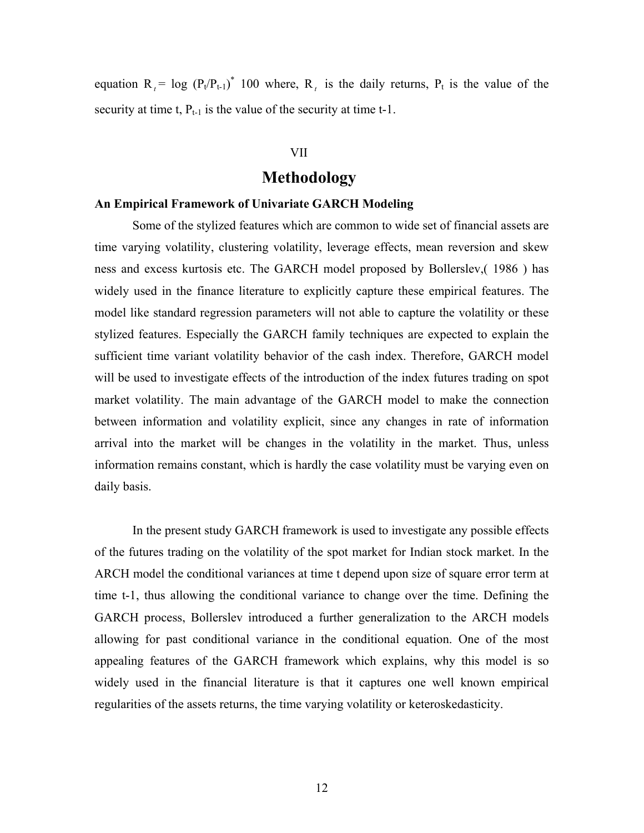equation  $R_t = \log (P_t/P_{t-1})^*$  100 where,  $R_t$  is the daily returns,  $P_t$  is the value of the security at time t,  $P_{t-1}$  is the value of the security at time t-1.

### VII

# **Methodology**

### **An Empirical Framework of Univariate GARCH Modeling**

Some of the stylized features which are common to wide set of financial assets are time varying volatility, clustering volatility, leverage effects, mean reversion and skew ness and excess kurtosis etc. The GARCH model proposed by Bollerslev,( 1986 ) has widely used in the finance literature to explicitly capture these empirical features. The model like standard regression parameters will not able to capture the volatility or these stylized features. Especially the GARCH family techniques are expected to explain the sufficient time variant volatility behavior of the cash index. Therefore, GARCH model will be used to investigate effects of the introduction of the index futures trading on spot market volatility. The main advantage of the GARCH model to make the connection between information and volatility explicit, since any changes in rate of information arrival into the market will be changes in the volatility in the market. Thus, unless information remains constant, which is hardly the case volatility must be varying even on daily basis.

In the present study GARCH framework is used to investigate any possible effects of the futures trading on the volatility of the spot market for Indian stock market. In the ARCH model the conditional variances at time t depend upon size of square error term at time t-1, thus allowing the conditional variance to change over the time. Defining the GARCH process, Bollerslev introduced a further generalization to the ARCH models allowing for past conditional variance in the conditional equation. One of the most appealing features of the GARCH framework which explains, why this model is so widely used in the financial literature is that it captures one well known empirical regularities of the assets returns, the time varying volatility or keteroskedasticity.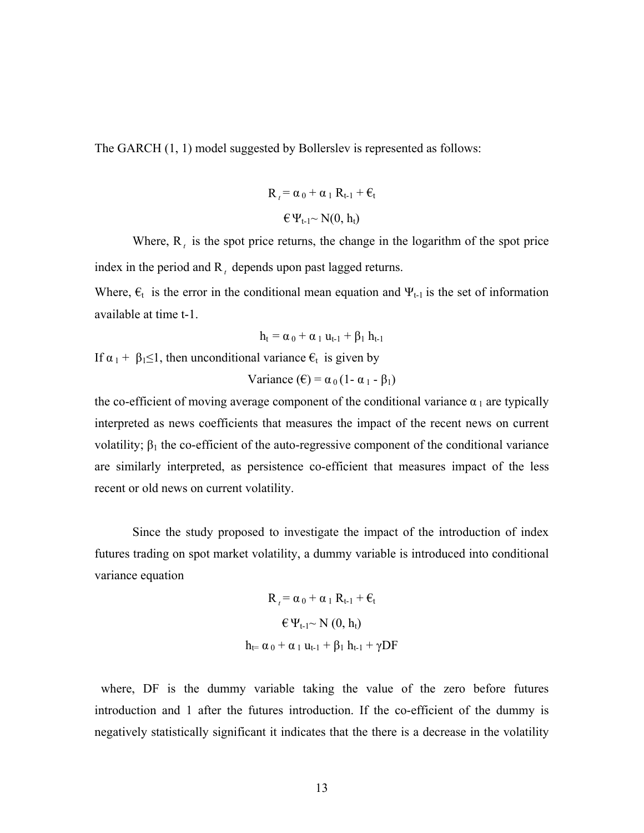The GARCH (1, 1) model suggested by Bollerslev is represented as follows:

$$
R_{t} = \alpha_0 + \alpha_1 R_{t-1} + \varepsilon_t
$$

$$
\in \Psi_{t-1} \sim N(0, h_t)
$$

Where,  $R_t$  is the spot price returns, the change in the logarithm of the spot price index in the period and R<sub>t</sub> depends upon past lagged returns.

Where,  $\epsilon_t$  is the error in the conditional mean equation and  $\Psi_{t-1}$  is the set of information available at time t-1.

$$
h_t = \alpha_0 + \alpha_1 \, u_{t\text{-}1} + \beta_1 \, h_{t\text{-}1}
$$

If  $\alpha_1 + \beta_1 \leq 1$ , then unconditional variance  $\epsilon_t$  is given by

Variance (
$$
\epsilon
$$
) =  $\alpha_0 (1 - \alpha_1 - \beta_1)$ 

the co-efficient of moving average component of the conditional variance  $\alpha_1$  are typically interpreted as news coefficients that measures the impact of the recent news on current volatility;  $β_1$  the co-efficient of the auto-regressive component of the conditional variance are similarly interpreted, as persistence co-efficient that measures impact of the less recent or old news on current volatility.

Since the study proposed to investigate the impact of the introduction of index futures trading on spot market volatility, a dummy variable is introduced into conditional variance equation

$$
R_{t} = \alpha_{0} + \alpha_{1} R_{t-1} + \varepsilon_{t}
$$
  
\n
$$
\varepsilon \Psi_{t-1} \sim N(0, h_{t})
$$
  
\n
$$
h_{t} = \alpha_{0} + \alpha_{1} u_{t-1} + \beta_{1} h_{t-1} + \gamma DF
$$

 where, DF is the dummy variable taking the value of the zero before futures introduction and 1 after the futures introduction. If the co-efficient of the dummy is negatively statistically significant it indicates that the there is a decrease in the volatility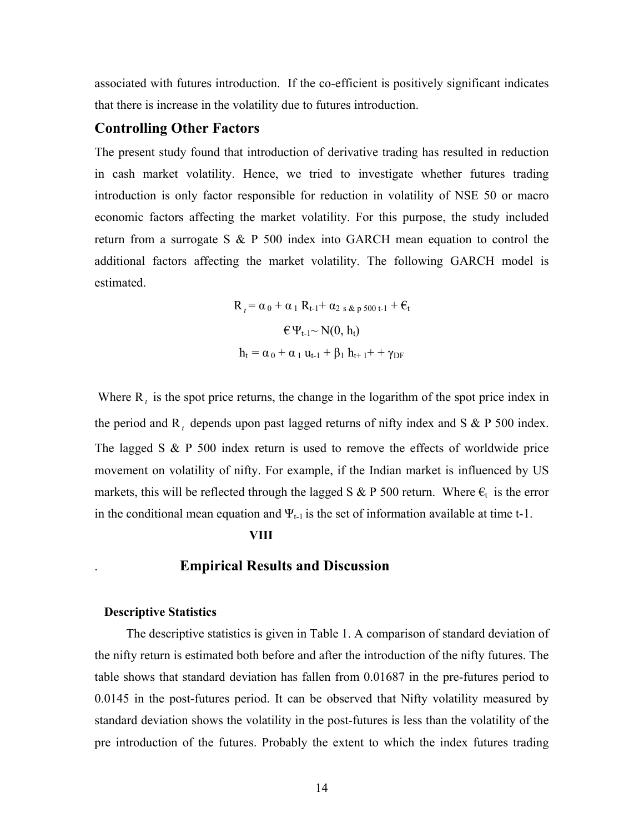associated with futures introduction. If the co-efficient is positively significant indicates that there is increase in the volatility due to futures introduction.

## **Controlling Other Factors**

The present study found that introduction of derivative trading has resulted in reduction in cash market volatility. Hence, we tried to investigate whether futures trading introduction is only factor responsible for reduction in volatility of NSE 50 or macro economic factors affecting the market volatility. For this purpose, the study included return from a surrogate S & P 500 index into GARCH mean equation to control the additional factors affecting the market volatility. The following GARCH model is estimated.

$$
R_{t} = \alpha_{0} + \alpha_{1} R_{t-1} + \alpha_{2 \text{ s}} \alpha_{p} \text{ s}_{00 \text{ t-1}} + \varepsilon_{t}
$$

$$
\in \Psi_{t-1} \sim N(0, h_{t})
$$

$$
h_{t} = \alpha_{0} + \alpha_{1} u_{t-1} + \beta_{1} h_{t+1} + \gamma_{DF}
$$

Where R<sub>t</sub> is the spot price returns, the change in the logarithm of the spot price index in the period and  $R_t$  depends upon past lagged returns of nifty index and S & P 500 index. The lagged S & P 500 index return is used to remove the effects of worldwide price movement on volatility of nifty. For example, if the Indian market is influenced by US markets, this will be reflected through the lagged S & P 500 return. Where  $\epsilon_t$  is the error in the conditional mean equation and  $\Psi_{t-1}$  is the set of information available at time t-1.

#### **VIII**

### . **Empirical Results and Discussion**

### **Descriptive Statistics**

 The descriptive statistics is given in Table 1. A comparison of standard deviation of the nifty return is estimated both before and after the introduction of the nifty futures. The table shows that standard deviation has fallen from 0.01687 in the pre-futures period to 0.0145 in the post-futures period. It can be observed that Nifty volatility measured by standard deviation shows the volatility in the post-futures is less than the volatility of the pre introduction of the futures. Probably the extent to which the index futures trading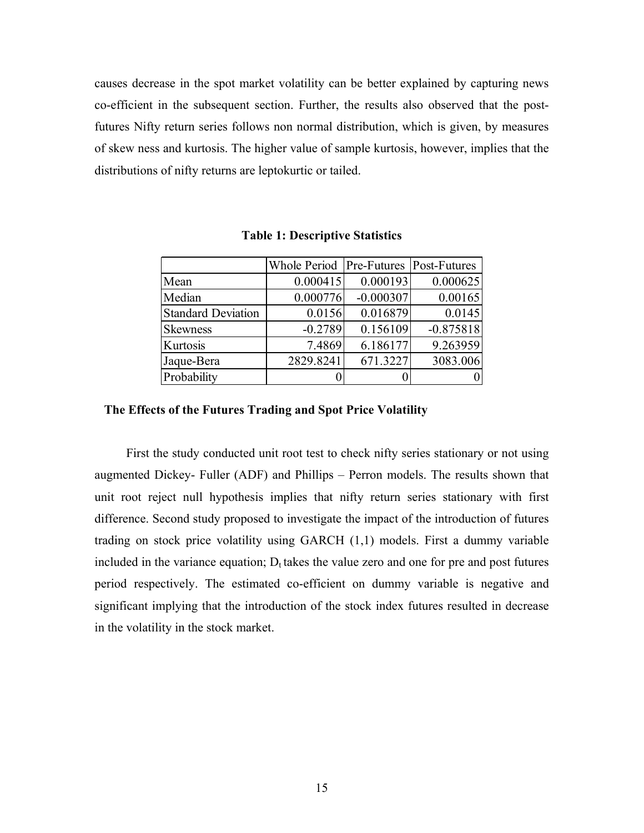causes decrease in the spot market volatility can be better explained by capturing news co-efficient in the subsequent section. Further, the results also observed that the postfutures Nifty return series follows non normal distribution, which is given, by measures of skew ness and kurtosis. The higher value of sample kurtosis, however, implies that the distributions of nifty returns are leptokurtic or tailed.

|                           | Whole Period   Pre-Futures   Post-Futures |             |             |
|---------------------------|-------------------------------------------|-------------|-------------|
| Mean                      | 0.000415                                  | 0.000193    | 0.000625    |
| Median                    | 0.000776                                  | $-0.000307$ | 0.00165     |
| <b>Standard Deviation</b> | 0.0156                                    | 0.016879    | 0.0145      |
| <b>Skewness</b>           | $-0.2789$                                 | 0.156109    | $-0.875818$ |
| Kurtosis                  | 7.4869                                    | 6.186177    | 9.263959    |
| Jaque-Bera                | 2829.8241                                 | 671.3227    | 3083.006    |
| Probability               |                                           |             |             |

**Table 1: Descriptive Statistics** 

### **The Effects of the Futures Trading and Spot Price Volatility**

 First the study conducted unit root test to check nifty series stationary or not using augmented Dickey- Fuller (ADF) and Phillips – Perron models. The results shown that unit root reject null hypothesis implies that nifty return series stationary with first difference. Second study proposed to investigate the impact of the introduction of futures trading on stock price volatility using GARCH (1,1) models. First a dummy variable included in the variance equation;  $D_t$  takes the value zero and one for pre and post futures period respectively. The estimated co-efficient on dummy variable is negative and significant implying that the introduction of the stock index futures resulted in decrease in the volatility in the stock market.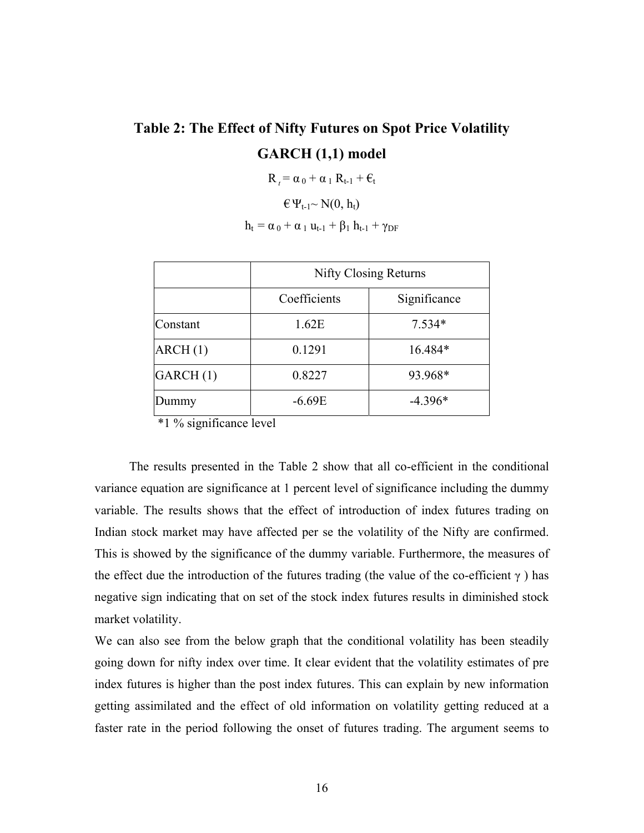# **Table 2: The Effect of Nifty Futures on Spot Price Volatility GARCH (1,1) model**

$$
R_{t} = \alpha_0 + \alpha_1 R_{t-1} + \varepsilon_t
$$

$$
\varepsilon \Psi_{t\text{-}1}\sim N(0,h_t)
$$

 $h_t = \alpha_0 + \alpha_1 u_{t-1} + \beta_1 h_{t-1} + \gamma_{DF}$ 

|          | <b>Nifty Closing Returns</b> |              |  |
|----------|------------------------------|--------------|--|
|          | Coefficients                 | Significance |  |
| Constant | 1.62E                        | $7.534*$     |  |
| ARCH(1)  | 0.1291                       | 16.484*      |  |
| GARCH(1) | 0.8227                       | 93.968*      |  |
| Dummy    | $-6.69E$                     | $-4.396*$    |  |

\*1 % significance level

 The results presented in the Table 2 show that all co-efficient in the conditional variance equation are significance at 1 percent level of significance including the dummy variable. The results shows that the effect of introduction of index futures trading on Indian stock market may have affected per se the volatility of the Nifty are confirmed. This is showed by the significance of the dummy variable. Furthermore, the measures of the effect due the introduction of the futures trading (the value of the co-efficient  $\gamma$ ) has negative sign indicating that on set of the stock index futures results in diminished stock market volatility.

We can also see from the below graph that the conditional volatility has been steadily going down for nifty index over time. It clear evident that the volatility estimates of pre index futures is higher than the post index futures. This can explain by new information getting assimilated and the effect of old information on volatility getting reduced at a faster rate in the period following the onset of futures trading. The argument seems to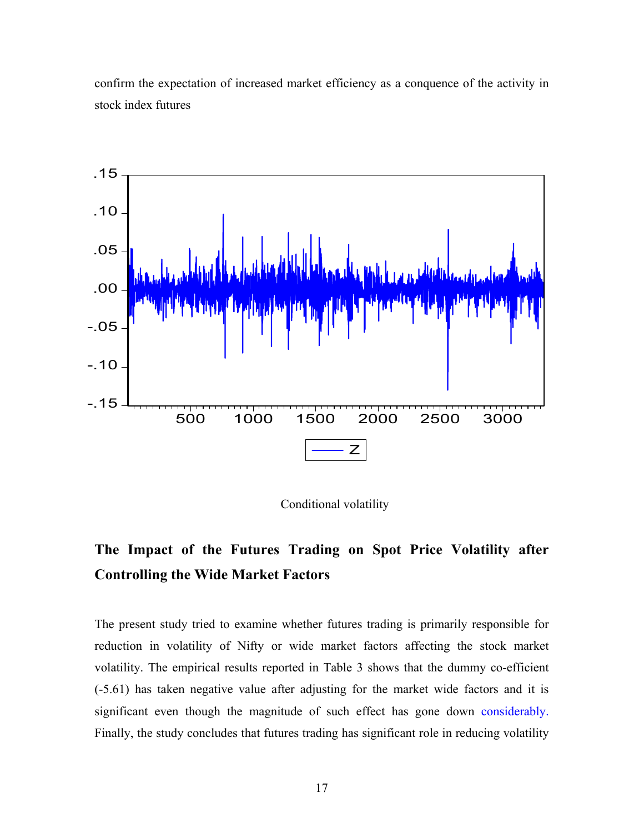confirm the expectation of increased market efficiency as a conquence of the activity in stock index futures



Conditional volatility

# **The Impact of the Futures Trading on Spot Price Volatility after Controlling the Wide Market Factors**

The present study tried to examine whether futures trading is primarily responsible for reduction in volatility of Nifty or wide market factors affecting the stock market volatility. The empirical results reported in Table 3 shows that the dummy co-efficient (-5.61) has taken negative value after adjusting for the market wide factors and it is significant even though the magnitude of such effect has gone down considerably. Finally, the study concludes that futures trading has significant role in reducing volatility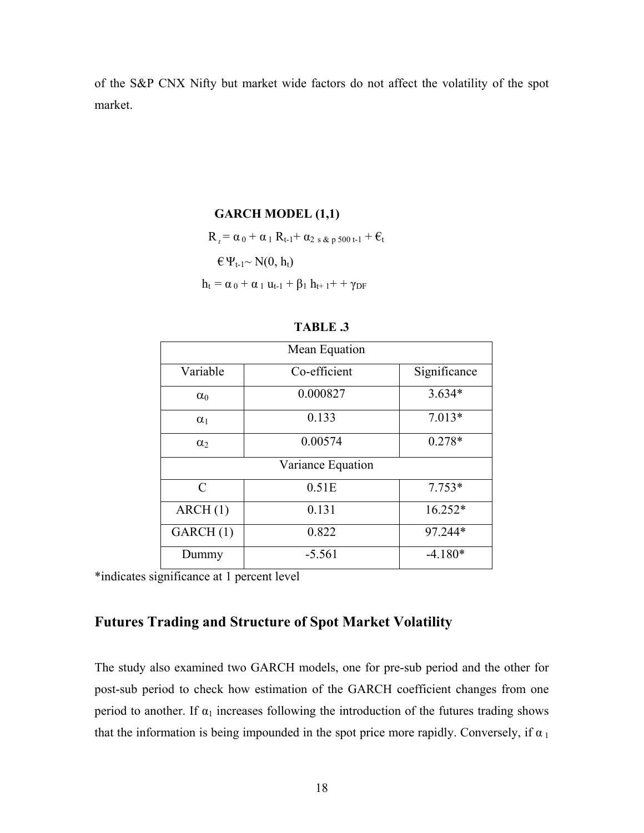of the S&P CNX Nifty but market wide factors do not affect the volatility of the spot market.

### **GARCH MODEL (1,1)**

 $R_t = \alpha_0 + \alpha_1 R_{t-1} + \alpha_2 S_{\&\ p} S_{00 t-1} + \epsilon_t$ 

 $\in \Psi_{t-1} \sim N(0, h_t)$ 

 $h_t = \alpha_0 + \alpha_1 u_{t-1} + \beta_1 h_{t+1} + \gamma_{DF}$ 

| Mean Equation               |              |              |  |
|-----------------------------|--------------|--------------|--|
| Variable                    | Co-efficient | Significance |  |
| $\alpha_0$                  | 0.000827     | $3.634*$     |  |
| $\alpha_1$                  | 0.133        | $7.013*$     |  |
| $\alpha$                    | 0.00574      | $0.278*$     |  |
| Variance Equation           |              |              |  |
| $\mathcal{C}_{\mathcal{C}}$ | 0.51E        | $7.753*$     |  |
| ARCH(1)                     | 0.131        | $16.252*$    |  |
| GARCH(1)                    | 0.822        | 97.244*      |  |
| Dummy                       | $-5.561$     | $-4.180*$    |  |

| n<br>\KL<br>- |  |
|---------------|--|
|---------------|--|

\*indicates significance at 1 percent level

# **Futures Trading and Structure of Spot Market Volatility**

The study also examined two GARCH models, one for pre-sub period and the other for post-sub period to check how estimation of the GARCH coefficient changes from one period to another. If  $\alpha_1$  increases following the introduction of the futures trading shows that the information is being impounded in the spot price more rapidly. Conversely, if  $\alpha_1$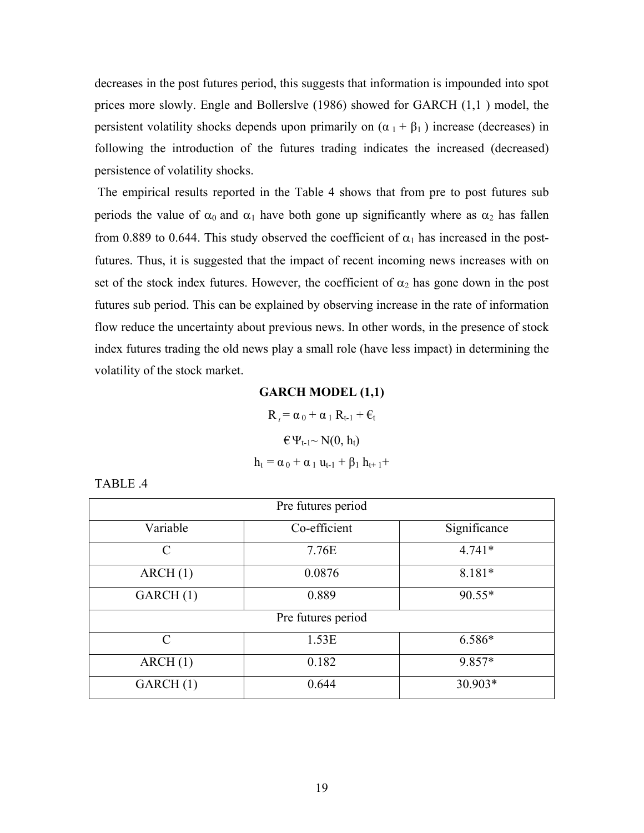decreases in the post futures period, this suggests that information is impounded into spot prices more slowly. Engle and Bollerslve (1986) showed for GARCH (1,1 ) model, the persistent volatility shocks depends upon primarily on  $(\alpha_1 + \beta_1)$  increase (decreases) in following the introduction of the futures trading indicates the increased (decreased) persistence of volatility shocks.

 The empirical results reported in the Table 4 shows that from pre to post futures sub periods the value of  $\alpha_0$  and  $\alpha_1$  have both gone up significantly where as  $\alpha_2$  has fallen from 0.889 to 0.644. This study observed the coefficient of  $\alpha_1$  has increased in the postfutures. Thus, it is suggested that the impact of recent incoming news increases with on set of the stock index futures. However, the coefficient of  $\alpha_2$  has gone down in the post futures sub period. This can be explained by observing increase in the rate of information flow reduce the uncertainty about previous news. In other words, in the presence of stock index futures trading the old news play a small role (have less impact) in determining the volatility of the stock market.

### **GARCH MODEL (1,1)**

 $R_t = \alpha_0 + \alpha_1 R_{t-1} + \epsilon_t$  $\in \Psi_{t-1} \sim N(0, h_t)$  $h_t = \alpha_0 + \alpha_1 u_{t-1} + \beta_1 h_{t+1} +$ 

| ч. |
|----|
|----|

| Pre futures period |              |              |  |
|--------------------|--------------|--------------|--|
| Variable           | Co-efficient | Significance |  |
| $\mathcal{C}$      | 7.76E        | $4.741*$     |  |
| ARCH(1)            | 0.0876       | 8.181*       |  |
| GARCH(1)           | 0.889        | $90.55*$     |  |
| Pre futures period |              |              |  |
| $\mathcal{C}$      | 1.53E        | 6.586*       |  |
| ARCH(1)            | 0.182        | 9.857*       |  |
| GARCH(1)           | 0.644        | 30.903*      |  |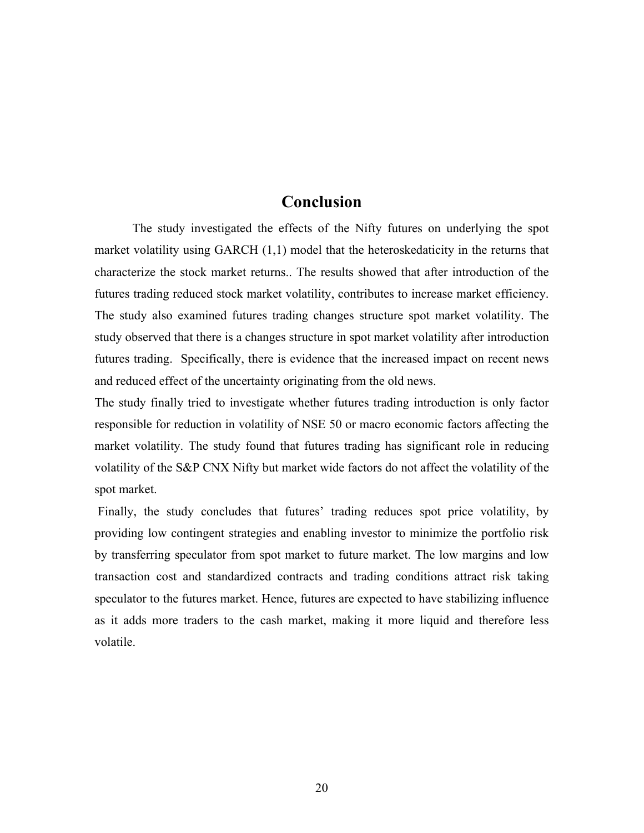# **Conclusion**

The study investigated the effects of the Nifty futures on underlying the spot market volatility using GARCH (1,1) model that the heteroskedaticity in the returns that characterize the stock market returns.. The results showed that after introduction of the futures trading reduced stock market volatility, contributes to increase market efficiency. The study also examined futures trading changes structure spot market volatility. The study observed that there is a changes structure in spot market volatility after introduction futures trading. Specifically, there is evidence that the increased impact on recent news and reduced effect of the uncertainty originating from the old news.

The study finally tried to investigate whether futures trading introduction is only factor responsible for reduction in volatility of NSE 50 or macro economic factors affecting the market volatility. The study found that futures trading has significant role in reducing volatility of the S&P CNX Nifty but market wide factors do not affect the volatility of the spot market.

 Finally, the study concludes that futures' trading reduces spot price volatility, by providing low contingent strategies and enabling investor to minimize the portfolio risk by transferring speculator from spot market to future market. The low margins and low transaction cost and standardized contracts and trading conditions attract risk taking speculator to the futures market. Hence, futures are expected to have stabilizing influence as it adds more traders to the cash market, making it more liquid and therefore less volatile.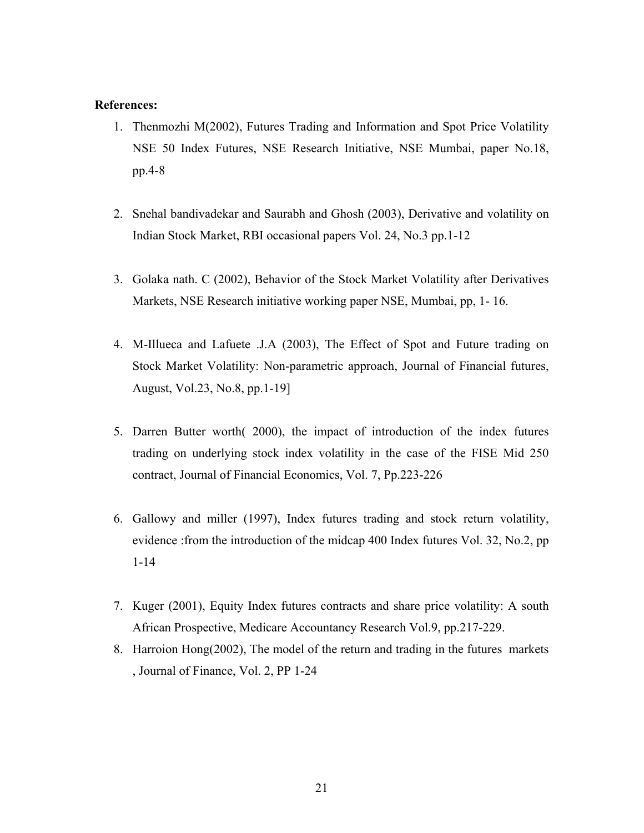### **References:**

- 1. Thenmozhi M(2002), Futures Trading and Information and Spot Price Volatility NSE 50 Index Futures, NSE Research Initiative, NSE Mumbai, paper No.18, pp.4-8
- 2. Snehal bandivadekar and Saurabh and Ghosh (2003), Derivative and volatility on Indian Stock Market, RBI occasional papers Vol. 24, No.3 pp.1-12
- 3. Golaka nath. C (2002), Behavior of the Stock Market Volatility after Derivatives Markets, NSE Research initiative working paper NSE, Mumbai, pp, 1- 16.
- 4. M-Illueca and Lafuete .J.A (2003), The Effect of Spot and Future trading on Stock Market Volatility: Non-parametric approach, Journal of Financial futures, August, Vol.23, No.8, pp.1-19]
- 5. Darren Butter worth( 2000), the impact of introduction of the index futures trading on underlying stock index volatility in the case of the FISE Mid 250 contract, Journal of Financial Economics, Vol. 7, Pp.223-226
- 6. Gallowy and miller (1997), Index futures trading and stock return volatility, evidence :from the introduction of the midcap 400 Index futures Vol. 32, No.2, pp 1-14
- 7. Kuger (2001), Equity Index futures contracts and share price volatility: A south African Prospective, Medicare Accountancy Research Vol.9, pp.217-229.
- 8. Harroion Hong(2002), The model of the return and trading in the futures markets , Journal of Finance, Vol. 2, PP 1-24